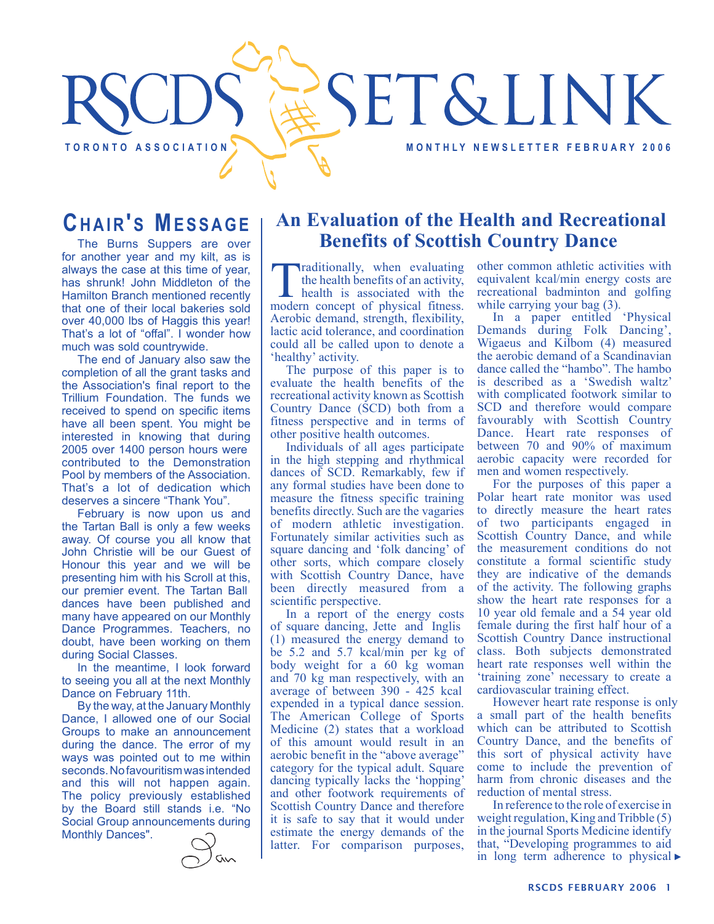# SET&LINK TORONTO ASSOCIATION **TO REALLY A REALLY AND REALLY ASSOCIATION**

## **CHAIR'S MESSAGE**

The Burns Suppers are over for another year and my kilt, as is always the case at this time of year, has shrunk! John Middleton of the Hamilton Branch mentioned recently that one of their local bakeries sold over 40,000 lbs of Haggis this year! That's a lot of "offal". I wonder how much was sold countrywide.

The end of January also saw the completion of all the grant tasks and the Association's final report to the Trillium Foundation. The funds we received to spend on specific items have all been spent. You might be interested in knowing that during 2005 over 1400 person hours were contributed to the Demonstration Pool by members of the Association. That's a lot of dedication which deserves a sincere "Thank You".

February is now upon us and the Tartan Ball is only a few weeks away. Of course you all know that John Christie will be our Guest of Honour this year and we will be presenting him with his Scroll at this, our premier event. The Tartan Ball dances have been published and many have appeared on our Monthly Dance Programmes. Teachers, no doubt, have been working on them during Social Classes.

In the meantime, I look forward to seeing you all at the next Monthly Dance on February 11th.

By the way, at the January Monthly Dance, I allowed one of our Social Groups to make an announcement during the dance. The error of my ways was pointed out to me within seconds. No favouritism was intended and this will not happen again. The policy previously established by the Board still stands i.e. "No Social Group announcements during Monthly Dances".



### **An Evaluation of the Health and Recreational Benefits of Scottish Country Dance**

Traditionally, when evaluating<br>the health benefits of an activity,<br>health is associated with the<br>modern concent of physical fitness the health benefits of an activity, modern concept of physical fitness. Aerobic demand, strength, flexibility, lactic acid tolerance, and coordination could all be called upon to denote a 'healthy' activity.

The purpose of this paper is to evaluate the health benefits of the recreational activity known as Scottish Country Dance (SCD) both from a fitness perspective and in terms of other positive health outcomes.

Individuals of all ages participate in the high stepping and rhythmical dances of SCD. Remarkably, few if any formal studies have been done to measure the fitness specific training benefits directly. Such are the vagaries of modern athletic investigation. Fortunately similar activities such as square dancing and 'folk dancing' of other sorts, which compare closely with Scottish Country Dance, have been directly measured from a scientific perspective.

In a report of the energy costs of square dancing, Jette and Inglis (1) measured the energy demand to be 5.2 and 5.7 kcal/min per kg of body weight for a 60 kg woman and 70 kg man respectively, with an average of between 390 - 425 kcal expended in a typical dance session. The American College of Sports Medicine (2) states that a workload of this amount would result in an aerobic benefit in the "above average" category for the typical adult. Square dancing typically lacks the 'hopping' and other footwork requirements of Scottish Country Dance and therefore it is safe to say that it would under estimate the energy demands of the latter. For comparison purposes,

other common athletic activities with equivalent kcal/min energy costs are recreational badminton and golfing while carrying your bag  $(3)$ .

In a paper entitled 'Physical Demands during Folk Dancing', Wigaeus and Kilbom (4) measured the aerobic demand of a Scandinavian dance called the "hambo". The hambo is described as a 'Swedish waltz' with complicated footwork similar to SCD and therefore would compare favourably with Scottish Country Dance. Heart rate responses of between 70 and 90% of maximum aerobic capacity were recorded for men and women respectively.

For the purposes of this paper a Polar heart rate monitor was used to directly measure the heart rates of two participants engaged in Scottish Country Dance, and while the measurement conditions do not constitute a formal scientific study they are indicative of the demands of the activity. The following graphs show the heart rate responses for a 10 year old female and a 54 year old female during the first half hour of a Scottish Country Dance instructional class. Both subjects demonstrated heart rate responses well within the 'training zone' necessary to create a cardiovascular training effect.

However heart rate response is only a small part of the health benefits which can be attributed to Scottish Country Dance, and the benefits of this sort of physical activity have come to include the prevention of harm from chronic diseases and the reduction of mental stress.

In reference to the role of exercise in weight regulation, King and Tribble (5) in the journal Sports Medicine identify that, "Developing programmes to aid in long term adherence to physical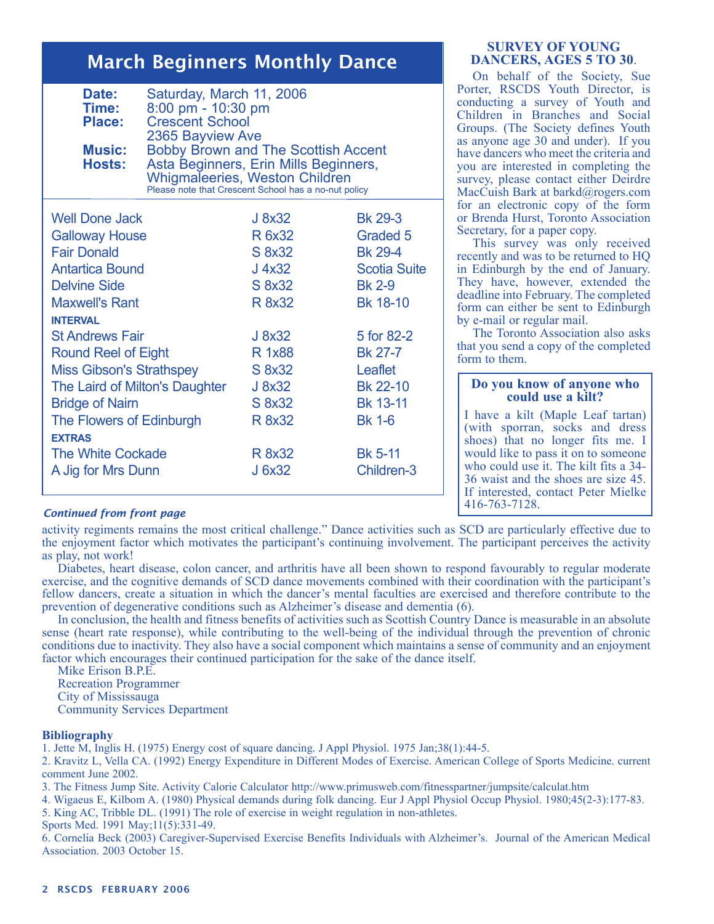## March Beginners Monthly Dance

| Date:<br>Time:<br><b>Place:</b><br><b>Music:</b><br>Hosts: | Saturday, March 11, 2006<br>8:00 pm - 10:30 pm<br><b>Crescent School</b><br>2365 Bayview Ave<br><b>Bobby Brown and The Scottish Accent</b><br>Asta Beginners, Erin Mills Beginners,<br><b>Whigmaleeries, Weston Children</b><br>Please note that Crescent School has a no-nut policy |                     |  |
|------------------------------------------------------------|--------------------------------------------------------------------------------------------------------------------------------------------------------------------------------------------------------------------------------------------------------------------------------------|---------------------|--|
| <b>Well Done Jack</b>                                      | J 8x32                                                                                                                                                                                                                                                                               | <b>Bk 29-3</b>      |  |
| <b>Galloway House</b>                                      | R 6x32                                                                                                                                                                                                                                                                               | Graded 5            |  |
| <b>Fair Donald</b>                                         | S 8x32                                                                                                                                                                                                                                                                               | <b>Bk 29-4</b>      |  |
| <b>Antartica Bound</b>                                     | $J$ 4x32                                                                                                                                                                                                                                                                             | <b>Scotia Suite</b> |  |
| <b>Delvine Side</b>                                        | S 8x32                                                                                                                                                                                                                                                                               | <b>Bk 2-9</b>       |  |
| <b>Maxwell's Rant</b>                                      | R 8x32                                                                                                                                                                                                                                                                               | Bk 18-10            |  |
| <b>INTERVAL</b>                                            |                                                                                                                                                                                                                                                                                      |                     |  |
| <b>St Andrews Fair</b>                                     | J 8x32                                                                                                                                                                                                                                                                               | 5 for 82-2          |  |
| <b>Round Reel of Eight</b>                                 | R 1x88                                                                                                                                                                                                                                                                               | <b>Bk 27-7</b>      |  |
| <b>Miss Gibson's Strathspey</b>                            | S 8x32                                                                                                                                                                                                                                                                               | Leaflet             |  |
| The Laird of Milton's Daughter                             | J 8x32                                                                                                                                                                                                                                                                               | Bk 22-10            |  |
| <b>Bridge of Nairn</b>                                     | S 8x32                                                                                                                                                                                                                                                                               | <b>Bk 13-11</b>     |  |
| The Flowers of Edinburgh                                   | R 8x32                                                                                                                                                                                                                                                                               | <b>Bk 1-6</b>       |  |
| <b>EXTRAS</b>                                              |                                                                                                                                                                                                                                                                                      |                     |  |
| <b>The White Cockade</b>                                   | R 8x32                                                                                                                                                                                                                                                                               | <b>Bk 5-11</b>      |  |
| A Jig for Mrs Dunn                                         | J 6x32                                                                                                                                                                                                                                                                               | Children-3          |  |
|                                                            |                                                                                                                                                                                                                                                                                      |                     |  |

#### **SURVEY OF YOUNG DANCERS, AGES 5 TO 30**.

On behalf of the Society, Sue Porter, RSCDS Youth Director, is conducting a survey of Youth and Children in Branches and Social Groups. (The Society defines Youth as anyone age 30 and under). If you have dancers who meet the criteria and you are interested in completing the survey, please contact either Deirdre MacCuish Bark at barkd@rogers.com for an electronic copy of the form or Brenda Hurst, Toronto Association Secretary, for a paper copy.

This survey was only received recently and was to be returned to HQ in Edinburgh by the end of January. They have, however, extended the deadline into February. The completed form can either be sent to Edinburgh by e-mail or regular mail.

The Toronto Association also asks that you send a copy of the completed form to them.

#### **Do you know of anyone who could use a kilt?**

I have a kilt (Maple Leaf tartan) (with sporran, socks and dress shoes) that no longer fits me. I would like to pass it on to someone who could use it. The kilt fits a 34- 36 waist and the shoes are size 45. If interested, contact Peter Mielke 416-763-7128.

#### *Continued from front page*

activity regiments remains the most critical challenge." Dance activities such as SCD are particularly effective due to the enjoyment factor which motivates the participant's continuing involvement. The participant perceives the activity as play, not work!

Diabetes, heart disease, colon cancer, and arthritis have all been shown to respond favourably to regular moderate exercise, and the cognitive demands of SCD dance movements combined with their coordination with the participant's fellow dancers, create a situation in which the dancer's mental faculties are exercised and therefore contribute to the prevention of degenerative conditions such as Alzheimer's disease and dementia (6).

In conclusion, the health and fitness benefits of activities such as Scottish Country Dance is measurable in an absolute sense (heart rate response), while contributing to the well-being of the individual through the prevention of chronic conditions due to inactivity. They also have a social component which maintains a sense of community and an enjoyment factor which encourages their continued participation for the sake of the dance itself.

Mike Erison B.P.E. Recreation Programmer City of Mississauga Community Services Department

#### **Bibliography**

1. Jette M, Inglis H. (1975) Energy cost of square dancing. J Appl Physiol. 1975 Jan;38(1):44-5.

2. Kravitz L, Vella CA. (1992) Energy Expenditure in Different Modes of Exercise. American College of Sports Medicine. current comment June 2002.

3. The Fitness Jump Site. Activity Calorie Calculator http://www.primusweb.com/fitnesspartner/jumpsite/calculat.htm

4. Wigaeus E, Kilbom A. (1980) Physical demands during folk dancing. Eur J Appl Physiol Occup Physiol. 1980;45(2-3):177-83.

5. King AC, Tribble DL. (1991) The role of exercise in weight regulation in non-athletes.

Sports Med. 1991 May;11(5):331-49.

6. Cornelia Beck (2003) Caregiver-Supervised Exercise Benefits Individuals with Alzheimer's. Journal of the American Medical Association. 2003 October 15.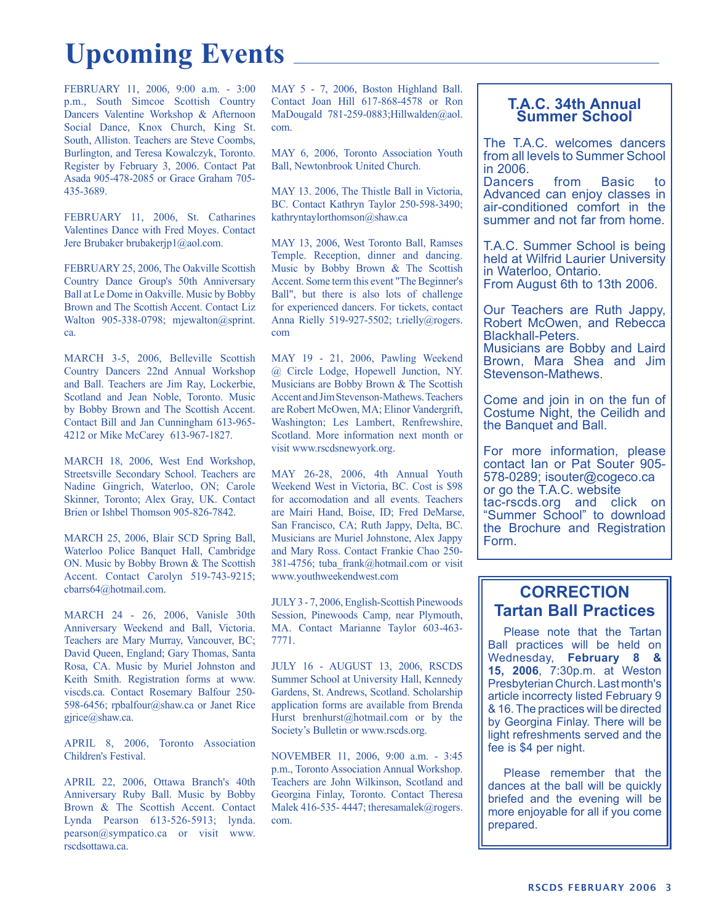## **Upcoming Events**

FEBRUARY 11, 2006, 9:00 a.m. - 3:00 p.m., South Simcoe Scottish Country Dancers Valentine Workshop & Afternoon Social Dance, Knox Church, King St. South, Alliston. Teachers are Steve Coombs, Burlington, and Teresa Kowalczyk, Toronto. Register by February 3, 2006. Contact Pat Asada 905-478-2085 or Grace Graham 705- 435-3689.

FEBRUARY 11, 2006, St. Catharines Valentines Dance with Fred Moyes. Contact Jere Brubaker brubakerjp1@aol.com.

FEBRUARY 25, 2006, The Oakville Scottish Country Dance Group's 50th Anniversary Ball at Le Dome in Oakville. Music by Bobby Brown and The Scottish Accent. Contact Liz Walton 905-338-0798; mjewalton@sprint. ca.

MARCH 3-5, 2006, Belleville Scottish Country Dancers 22nd Annual Workshop and Ball. Teachers are Jim Ray, Lockerbie, Scotland and Jean Noble, Toronto. Music by Bobby Brown and The Scottish Accent. Contact Bill and Jan Cunningham 613-965- 4212 or Mike McCarey 613-967-1827.

MARCH 18, 2006, West End Workshop, Streetsville Secondary School. Teachers are Nadine Gingrich, Waterloo, ON; Carole Skinner, Toronto; Alex Gray, UK. Contact Brien or Ishbel Thomson 905-826-7842.

MARCH 25, 2006, Blair SCD Spring Ball, Waterloo Police Banquet Hall, Cambridge ON. Music by Bobby Brown & The Scottish Accent. Contact Carolyn 519-743-9215; cbarrs64@hotmail.com.

MARCH 24 - 26, 2006, Vanisle 30th Anniversary Weekend and Ball, Victoria. Teachers are Mary Murray, Vancouver, BC; David Queen, England; Gary Thomas, Santa Rosa, CA. Music by Muriel Johnston and Keith Smith. Registration forms at www. viscds.ca. Contact Rosemary Balfour 250- 598-6456; rpbalfour@shaw.ca or Janet Rice gjrice@shaw.ca.

APRIL 8, 2006, Toronto Association Children's Festival.

APRIL 22, 2006, Ottawa Branch's 40th Anniversary Ruby Ball. Music by Bobby Brown & The Scottish Accent. Contact Lynda Pearson 613-526-5913; lynda. pearson@sympatico.ca or visit www. rscdsottawa.ca.

MAY 5 - 7, 2006, Boston Highland Ball. Contact Joan Hill 617-868-4578 or Ron MaDougald 781-259-0883;Hillwalden@aol. com.

MAY 6, 2006, Toronto Association Youth Ball, Newtonbrook United Church.

MAY 13. 2006, The Thistle Ball in Victoria, BC. Contact Kathryn Taylor 250-598-3490; kathryntaylorthomson@shaw.ca

MAY 13, 2006, West Toronto Ball, Ramses Temple. Reception, dinner and dancing. Music by Bobby Brown & The Scottish Accent. Some term this event "The Beginner's Ball", but there is also lots of challenge for experienced dancers. For tickets, contact Anna Rielly 519-927-5502; t.rielly@rogers. com

MAY 19 - 21, 2006, Pawling Weekend @ Circle Lodge, Hopewell Junction, NY. Musicians are Bobby Brown & The Scottish Accent and Jim Stevenson-Mathews. Teachers are Robert McOwen, MA; Elinor Vandergrift, Washington; Les Lambert, Renfrewshire, Scotland. More information next month or visit www.rscdsnewyork.org.

MAY 26-28, 2006, 4th Annual Youth Weekend West in Victoria, BC. Cost is \$98 for accomodation and all events. Teachers are Mairi Hand, Boise, ID; Fred DeMarse, San Francisco, CA; Ruth Jappy, Delta, BC. Musicians are Muriel Johnstone, Alex Jappy and Mary Ross. Contact Frankie Chao 250- 381-4756; tuba\_frank@hotmail.com or visit www.youthweekendwest.com

JULY 3 - 7, 2006, English-Scottish Pinewoods Session, Pinewoods Camp, near Plymouth, MA. Contact Marianne Taylor 603-463- 7771.

JULY 16 - AUGUST 13, 2006, RSCDS Summer School at University Hall, Kennedy Gardens, St. Andrews, Scotland. Scholarship application forms are available from Brenda Hurst brenhurst@hotmail.com or by the Society's Bulletin or www.rscds.org.

NOVEMBER 11, 2006, 9:00 a.m. - 3:45 p.m., Toronto Association Annual Workshop. Teachers are John Wilkinson, Scotland and Georgina Finlay, Toronto. Contact Theresa Malek 416-535- 4447; theresamalek@rogers. com.

#### **T.A.C. 34th Annual Summer School**

The T.A.C. welcomes dancers from all levels to Summer School in 2006.

Dancers from Basic to Advanced can enjoy classes in air-conditioned comfort in the summer and not far from home.

T.A.C. Summer School is being held at Wilfrid Laurier University in Waterloo, Ontario. From August 6th to 13th 2006.

Our Teachers are Ruth Jappy, Robert McOwen, and Rebecca Blackhall-Peters. Musicians are Bobby and Laird Brown, Mara Shea and Jim Stevenson-Mathews.

Come and join in on the fun of Costume Night, the Ceilidh and the Banquet and Ball.

For more information, please contact Ian or Pat Souter 905- 578-0289; isouter@cogeco.ca or go the T.A.C. website tac-rscds.org and click on "Summer School" to download the Brochure and Registration Form.

#### **CORRECTION Tartan Ball Practices**

Please note that the Tartan Ball practices will be held on Wednesday, **February 8 & 15, 2006**, 7:30p.m. at Weston Presbyterian Church. Last month's article incorrecty listed February 9 & 16. The practices will be directed by Georgina Finlay. There will be light refreshments served and the fee is \$4 per night.

Please remember that the dances at the ball will be quickly briefed and the evening will be more enjoyable for all if you come prepared.